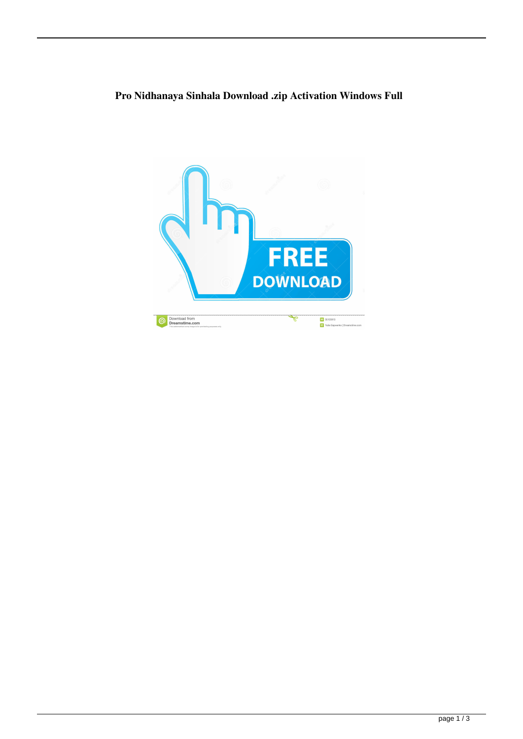## **Pro Nidhanaya Sinhala Download .zip Activation Windows Full**

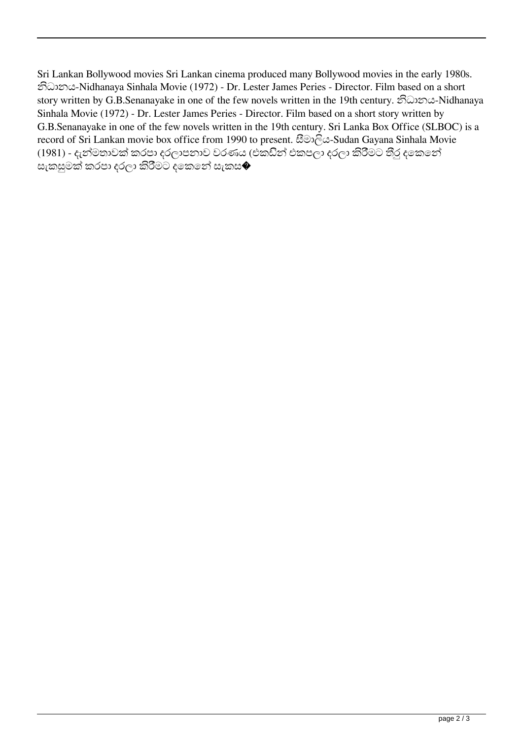Sri Lankan Bollywood movies Sri Lankan cinema produced many Bollywood movies in the early 1980s. නිධානය-Nidhanaya Sinhala Movie (1972) - Dr. Lester James Peries - Director. Film based on a short story written by G.B.Senanayake in one of the few novels written in the 19th century. නිධානය-Nidhanaya Sinhala Movie (1972) - Dr. Lester James Peries - Director. Film based on a short story written by G.B.Senanayake in one of the few novels written in the 19th century. Sri Lanka Box Office (SLBOC) is a record of Sri Lankan movie box office from 1990 to present. සීමාලිය-Sudan Gayana Sinhala Movie (1981) - දැන්මතාවක් කරපා දරලාපනාව වරණය (එකඩින් එකපලා දරලා කිරීමට තීරු දෙකෙන් සැකසුමක් කරපා දරලා කිරිීමට දකෙනේ සැකස�